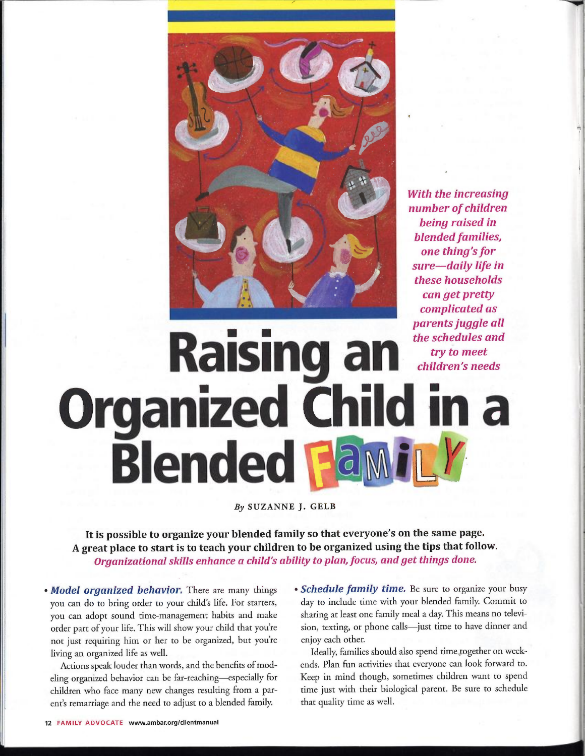

With the increasing number of children being raised in blended families, one thing's for sure—daily life in these households can get pretty complicated as parents juggle all the schedules and try to meet children's needs

# **Raising a Organized Child in a Blended Far**

By SUZANNE J. GELB

It is possible to organize your blended family so that everyone's on the same page. <sup>A</sup> great place to start is to teach your children to be organized using the tips that follow. Organizational skills enhance a child's ability to plan, focus, and get things done.

• Model organized behavior. There are many things you can do to bring order to your child's life. For starters, you can adopt sound time-management habits and make order part of your life. This will show your child that you'e not just requiring him or her to be organized, but you'e living an organized life as well.

Actions speak louder than words, and the benefits of modeling organized behavior can be far-reaching-especially for children who face many new changes resulting from a parent's remarriage and the need to adjust to a blended family.

• Schedule family time. Be sure to organize your busy day to include time with your blended family. Commit to sharing at least one family meal a day. This means no television, texting, or phone calls—just time to have dinner and enjoy each other.

Ideally, families should also spend time together on weekends. Plan fun activities that everyone can look forward to. Keep in mind though, sometimes children want to spend time just with their biological parent. Be sure to schedule that quality time as well.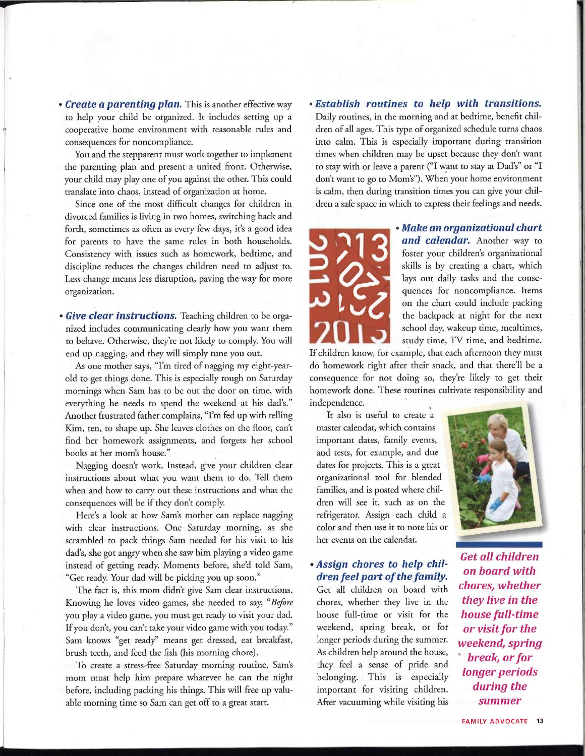• Create a parenting plan. This is another effective way to help your child be organized. It includes setting up a cooperative home environment with reasonable rules and consequences for noncompliance.

You and the stepparent must work together to implement the parenting plan and present a united front. Otherwise, your child may play one of you against the other. This could translate into chaos, instead of organization at home.

Since one of the most difficult changes for children in divorced families is living in two homes, switching back and forth, sometimes as often as every few days, it's a good idea for parents to have the same rules in both households. Consistency with issues such as homework, bedtime, and discipline reduces the changes children need to adjust to. Less change means less disruption, paving the way for more organization.

• Give clear instructions. Teaching children to be organized includes communicating clearly how you want them to behave. Otherwise, they'e not likely to comply. You will end up nagging, and they will simply tune you out.

As one mother says, "I'm tired of nagging my eight-yearold to get things done. This is especially rough on Saturday mornings when Sam has to be out the door on time, with everything he needs to spend the weekend at his dad's." Another frustrated father complains, "I'm fed up with telling Kim, ten, to shape up. She leaves clothes on the floor, can' find her homework assignments, and forgets her school books at her mom's house."

Nagging doesn't work. Instead, give your children clear instructions about what you want them to do. Tell them when and how to carry out these instructions and what the consequences will be if they don't comply.

Here's a look at how Sam's mother can replace nagging with clear instructions. One Saturday morning, as she scrambled to pack things Sam needed for his visit to his dad's, she got angry when she saw him playing a video game instead of getting ready. Moments before, she'd told Sam, "Get ready. Your dad will be picking you up soon."

The fact is, this mom didn't give Sam clear instructions. Knowing he loves video games, she needed to say, "Before you play a video game, you must get ready to visit your dad. If you don't, you can't take your video game with you today." Sam knows "get ready" means get dressed, eat breakfast, brush teeth, and feed the fish (his morning chore).

To create a stress-free Saturday morning routine, Sam's mom must help him prepare whatever he can the night before, including packing his things. This will free up valuable morning time so Sam can get off to a great start.

#### <sup>~</sup> Establish routines to help with transitions.

Daily routines, in the morning and at bedtime, benefit children of all ages. This type of organized schedule turns chaos into calm. This is especially important during transition times when children may be upset because they don't want to stay with or leave a parent ("I want to stay at Dad's" or "I don't want to go to Mom's"). When your home environment is calm, then during transition times you can give your children a safe space in which to express their feelings and needs.



<sup>~</sup> Make an organizational chart and calendar. Another way to foster your children's organizational skills is by creating a chart, which lays out daily tasks and the consequences for noncompliance. Items on the chart could include packing the backpack at night for the next school day, wakeup time, mealtimes, study time, TV time, and bedtime.

If children know, for example, that each afternoon they must do homework right after their snack, and that there'll be a consequence for not doing so, they'e likely to get their homework done. These routines cultivate responsibility and independence.

It also is useful to create a master calendar, which contains important dates, family events, and tests, for example, and due dates for projects. This is a great organizational tool for blended families, and is posted where children will see it, such as on the refrigerator. Assign each child a color and then use it to note his or her events on the calendar.

### <sup>~</sup> Assign chores to help children feel part of the family.

Get all children on board with chores, whether they live in the house full-time or visit for the weekend, spring break, or for longer periods during the summer. As children help around the house, they feel a sense of pride and belonging. This is especially important for visiting children. After vacuuming while visiting his



Get all children on board with chores, whether they live in the house full-time or visit for the weekend, spring break, or for longer periods during the summer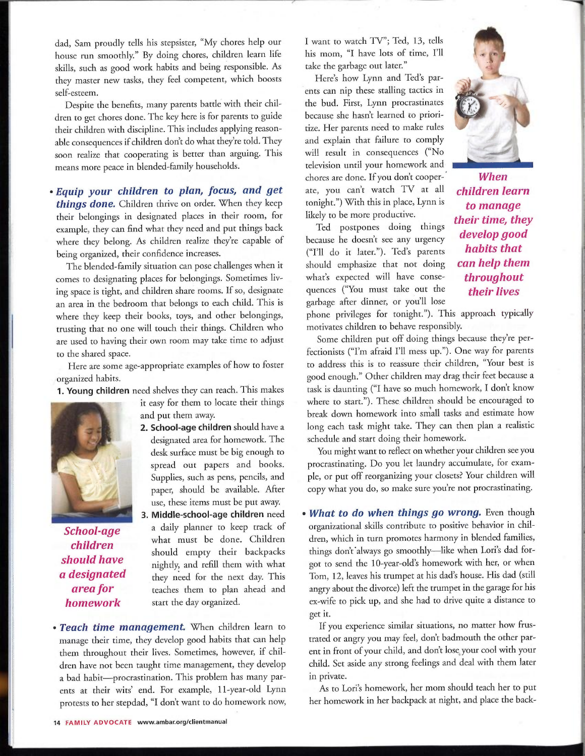dad, Sam proudly tells his stepsister, "My chores help our house run smoothly." By doing chores, children learn life skills, such as good work habits and being responsible. As they master new tasks, they feel competent, which boosts self-esteem.

Despite the benefits, many parents battle with their children to get chores done. The key here is for parents to guide their children with discipline. This includes applying reasonable consequences if children don't do what they'e told. They soon realize that cooperating is better than arguing. This means more peace in blended-family households.

## <sup>~</sup> Equip your children to plan, focus, and get things done. Children thrive on order. When they keep their belongings in designated places in their room, for example, they can find what they need and put things back where they belong. As children realize they're capable of being organized, their confidence increases.

The blended-family situation can pose challenges when it comes to designating places for belongings. Sometimes living space is tight, and children share rooms. If so, designate an area in the bedroom that belongs to each child. This is where they keep their books, toys, and other belongings, trusting that no one will touch their things. Children who are used to having their own room may take time to adjust to the shared space.

Here are some age-appropriate examples of how to foster organized habits.

1. Young children need shelves they can reach. This makes



- it easy for them to locate their things and put them away.
- 2. School-age children should have a designated area for homework. The desk surface must be big enough to spread out papers and books. Supplies, such as pens, pencils, and paper, should be available. After use, these items must be put away.
- 3. Middle-school-age children need School-age a daily planner to keep track of children what must be done. Children should empty their backpacks **should have** nightly, and refill them with what  $\alpha$  **designated** they need for the next day. This **designated** they need for the next day. This **area for** teaches them to plan ahead and teaches them to plan ahead and **homework** start the day organized.
- Teach time management. When children learn to manage their time, they develop good habits that can help them throughout their lives. Sometimes, however, if children have not been taught time management, they develop <sup>a</sup> bad habit—procrastination. This problem has many parents at their wits' end. For example, 11-year-old Lynn protests to her stepdad, "I don't want to do homework now,

I want to watch TV"; Ted, 13, tells his mom, "I have lots of time, I'l take the garbage out later."

Here's how Lynn and Ted's parents can nip these stalling tactics in the bud. First, Lynn procrastinates because she hasn't learned to prioritize. Her parents need to make rules and explain that failure to comply will result in consequences ("No television until your homework and chores are done. If you don't cooper- When ate, you can't watch TV at all children learn tonight.") With this in place, Lynn is likely to be more productive.<br> **their time, they** 

Ted postpones doing things because he doesn't see any urgency **develop good**<br>  $\begin{array}{c}\n\text{(F71)} \\
\text{(F71)} \\
\text{(A)} \\
\text{(B)} \\
\text{(B)} \\
\text{(C1)} \\
\text{(D1)} \\
\text{(E1)} \\
\text{(E2)} \\
\text{(E1)} \\
\text{(E2)} \\
\text{(E1)} \\
\text{(E2)} \\
\text{(E1)} \\
\text{(E2)} \\
\text{(E1)} \\
\text{(E2)} \\
\text{(E1)} \\
\text{(E1)} \\
\text{(E2)} \\
\text{(E1)} \\
\text{(E2)} \\
\text{(E1)} \\
\$ ("I'l do it later."). Ted's parents should emphasize that not doing can help them what's expected will have conse- throughout quences ("You must take out the garbage after dinner, or you'll lose



to manage their lives

phone privileges for tonight."). This approach typically motivates children to behave responsibly.

Some children put off doing things because they'e perfectionists ("I'm afraid I'l mess up."). One way for parents to address this is to reassure their children, "Your best is good enough." Other children may drag their feet because a task is daunting ("I have so much homework, I don't know where to start."). These children should be encouraged to break down homework into small tasks and estimate how long each task might take. They can then plan a realistic schedule and start doing their homework.

You might want to reflect on whether your children see you procrastinating. Do you let laundry accumulate, for example, or put off reorganizing your closets? Your children will copy what you do, so make sure you'e not procrastinating.

• What to do when things go wrong. Even though organizational skills contribute to positive behavior in children, which in turn promotes harmony in blended families, things don't always go smoothly-like when Lori's dad forgot to send the 10-year-old's homework with her, or when Tom, 12, leaves his trumpet at his dad's house. His dad (still angry about the divorce) left the trumpet in the garage for his ex-wife to pick up, and she had to drive quite a distance to get it.

If you experience similar situations, no matter how frustrated or angry you may feel, don't badmouth the other parent in front of your child, and don't lose your cool with your child. Set aside any strong feelings and deal with them later in private.

As to Lori's homework, her mom should teach her to put her homework in her backpack at night, and place the back